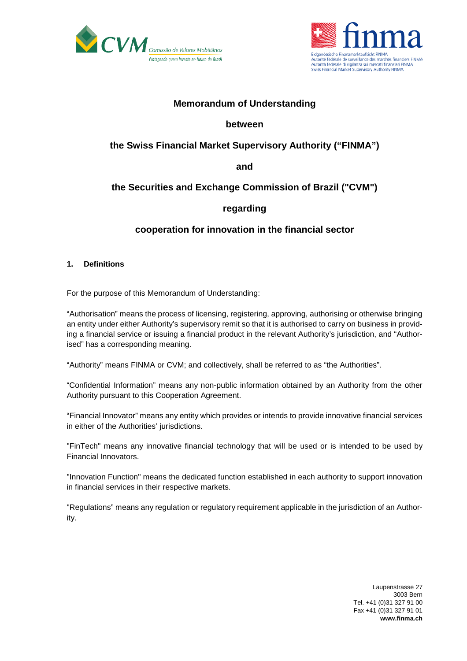



## **Memorandum of Understanding**

### **between**

# **the Swiss Financial Market Supervisory Authority ("FINMA")**

**and**

## **the Securities and Exchange Commission of Brazil ("CVM")**

## **regarding**

## **cooperation for innovation in the financial sector**

### **1. Definitions**

For the purpose of this Memorandum of Understanding:

"Authorisation" means the process of licensing, registering, approving, authorising or otherwise bringing an entity under either Authority's supervisory remit so that it is authorised to carry on business in providing a financial service or issuing a financial product in the relevant Authority's jurisdiction, and "Authorised" has a corresponding meaning.

"Authority" means FINMA or CVM; and collectively, shall be referred to as "the Authorities".

"Confidential Information" means any non-public information obtained by an Authority from the other Authority pursuant to this Cooperation Agreement.

"Financial Innovator" means any entity which provides or intends to provide innovative financial services in either of the Authorities' jurisdictions.

"FinTech" means any innovative financial technology that will be used or is intended to be used by Financial Innovators.

"Innovation Function" means the dedicated function established in each authority to support innovation in financial services in their respective markets.

"Regulations" means any regulation or regulatory requirement applicable in the jurisdiction of an Authority.

> Laupenstrasse 27 3003 Bern Tel. +41 (0)31 327 91 00 Fax +41 (0)31 327 91 01 **www.finma.ch**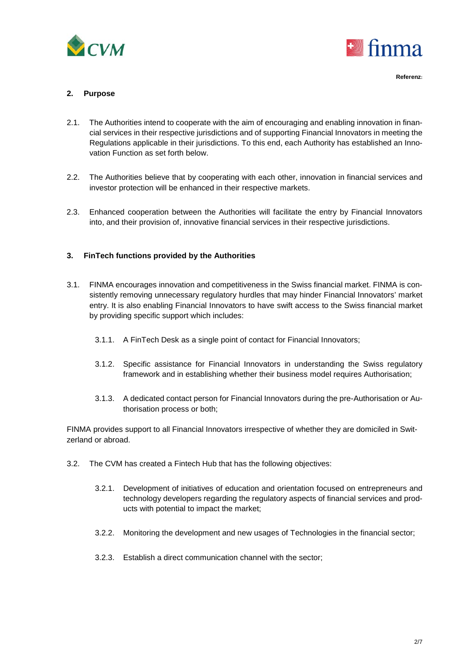



### **2. Purpose**

- 2.1. The Authorities intend to cooperate with the aim of encouraging and enabling innovation in financial services in their respective jurisdictions and of supporting Financial Innovators in meeting the Regulations applicable in their jurisdictions. To this end, each Authority has established an Innovation Function as set forth below.
- 2.2. The Authorities believe that by cooperating with each other, innovation in financial services and investor protection will be enhanced in their respective markets.
- 2.3. Enhanced cooperation between the Authorities will facilitate the entry by Financial Innovators into, and their provision of, innovative financial services in their respective jurisdictions.

### **3. FinTech functions provided by the Authorities**

- 3.1. FINMA encourages innovation and competitiveness in the Swiss financial market. FINMA is consistently removing unnecessary regulatory hurdles that may hinder Financial Innovators' market entry. It is also enabling Financial Innovators to have swift access to the Swiss financial market by providing specific support which includes:
	- 3.1.1. A FinTech Desk as a single point of contact for Financial Innovators;
	- 3.1.2. Specific assistance for Financial Innovators in understanding the Swiss regulatory framework and in establishing whether their business model requires Authorisation;
	- 3.1.3. A dedicated contact person for Financial Innovators during the pre-Authorisation or Authorisation process or both;

FINMA provides support to all Financial Innovators irrespective of whether they are domiciled in Switzerland or abroad.

- 3.2. The CVM has created a Fintech Hub that has the following objectives:
	- 3.2.1. Development of initiatives of education and orientation focused on entrepreneurs and technology developers regarding the regulatory aspects of financial services and products with potential to impact the market;
	- 3.2.2. Monitoring the development and new usages of Technologies in the financial sector;
	- 3.2.3. Establish a direct communication channel with the sector;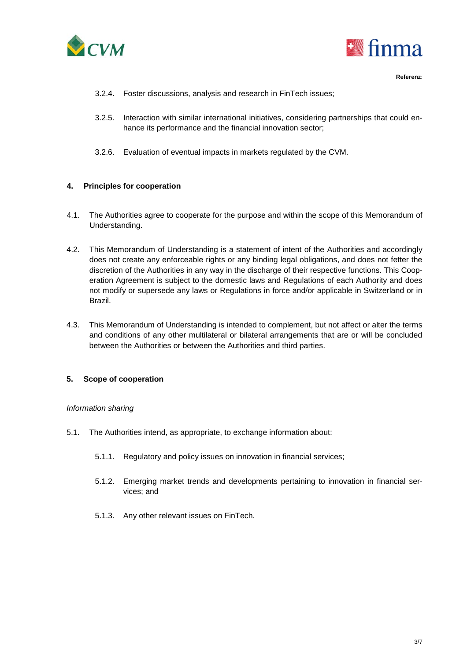



- 3.2.4. Foster discussions, analysis and research in FinTech issues;
- 3.2.5. Interaction with similar international initiatives, considering partnerships that could enhance its performance and the financial innovation sector;
- 3.2.6. Evaluation of eventual impacts in markets regulated by the CVM.

#### **4. Principles for cooperation**

- 4.1. The Authorities agree to cooperate for the purpose and within the scope of this Memorandum of Understanding.
- 4.2. This Memorandum of Understanding is a statement of intent of the Authorities and accordingly does not create any enforceable rights or any binding legal obligations, and does not fetter the discretion of the Authorities in any way in the discharge of their respective functions. This Cooperation Agreement is subject to the domestic laws and Regulations of each Authority and does not modify or supersede any laws or Regulations in force and/or applicable in Switzerland or in Brazil.
- 4.3. This Memorandum of Understanding is intended to complement, but not affect or alter the terms and conditions of any other multilateral or bilateral arrangements that are or will be concluded between the Authorities or between the Authorities and third parties.

### **5. Scope of cooperation**

#### *Information sharing*

- 5.1. The Authorities intend, as appropriate, to exchange information about:
	- 5.1.1. Regulatory and policy issues on innovation in financial services;
	- 5.1.2. Emerging market trends and developments pertaining to innovation in financial services; and
	- 5.1.3. Any other relevant issues on FinTech.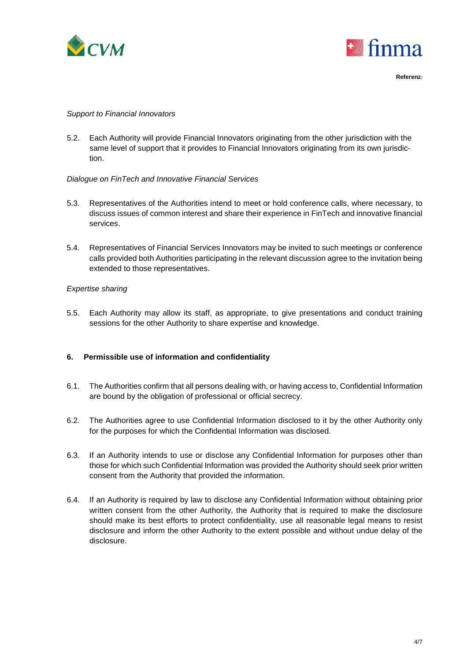



#### *Support to Financial Innovators*

5.2. Each Authority will provide Financial Innovators originating from the other jurisdiction with the same level of support that it provides to Financial Innovators originating from its own jurisdiction.

### *Dialogue on FinTech and Innovative Financial Services*

- 5.3. Representatives of the Authorities intend to meet or hold conference calls, where necessary, to discuss issues of common interest and share their experience in FinTech and innovative financial services.
- 5.4. Representatives of Financial Services Innovators may be invited to such meetings or conference calls provided both Authorities participating in the relevant discussion agree to the invitation being extended to those representatives.

### *Expertise sharing*

5.5. Each Authority may allow its staff, as appropriate, to give presentations and conduct training sessions for the other Authority to share expertise and knowledge.

### **6. Permissible use of information and confidentiality**

- 6.1. The Authorities confirm that all persons dealing with, or having access to, Confidential Information are bound by the obligation of professional or official secrecy.
- 6.2. The Authorities agree to use Confidential Information disclosed to it by the other Authority only for the purposes for which the Confidential Information was disclosed.
- 6.3. If an Authority intends to use or disclose any Confidential Information for purposes other than those for which such Confidential Information was provided the Authority should seek prior written consent from the Authority that provided the information.
- 6.4. If an Authority is required by law to disclose any Confidential Information without obtaining prior written consent from the other Authority, the Authority that is required to make the disclosure should make its best efforts to protect confidentiality, use all reasonable legal means to resist disclosure and inform the other Authority to the extent possible and without undue delay of the disclosure.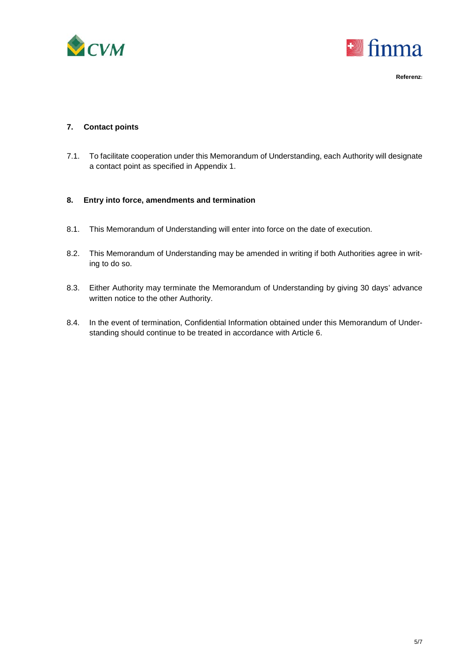



### **7. Contact points**

7.1. To facilitate cooperation under this Memorandum of Understanding, each Authority will designate a contact point as specified in Appendix 1.

### **8. Entry into force, amendments and termination**

- 8.1. This Memorandum of Understanding will enter into force on the date of execution.
- 8.2. This Memorandum of Understanding may be amended in writing if both Authorities agree in writing to do so.
- 8.3. Either Authority may terminate the Memorandum of Understanding by giving 30 days' advance written notice to the other Authority.
- 8.4. In the event of termination, Confidential Information obtained under this Memorandum of Understanding should continue to be treated in accordance with Article 6.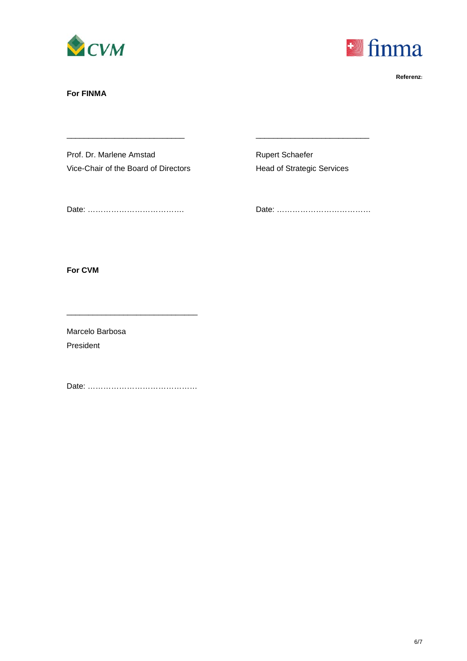



### **For FINMA**

Prof. Dr. Marlene Amstad Rupert Schaefer Vice-Chair of the Board of Directors Head of Strategic Services

\_\_\_\_\_\_\_\_\_\_\_\_\_\_\_\_\_\_\_\_\_\_\_\_\_\_\_ \_\_\_\_\_\_\_\_\_\_\_\_\_\_\_\_\_\_\_\_\_\_\_\_\_\_

Date: ………………………………. Date: ………………………………

**For CVM**

Marcelo Barbosa President

Date: ……………………………………

\_\_\_\_\_\_\_\_\_\_\_\_\_\_\_\_\_\_\_\_\_\_\_\_\_\_\_\_\_\_